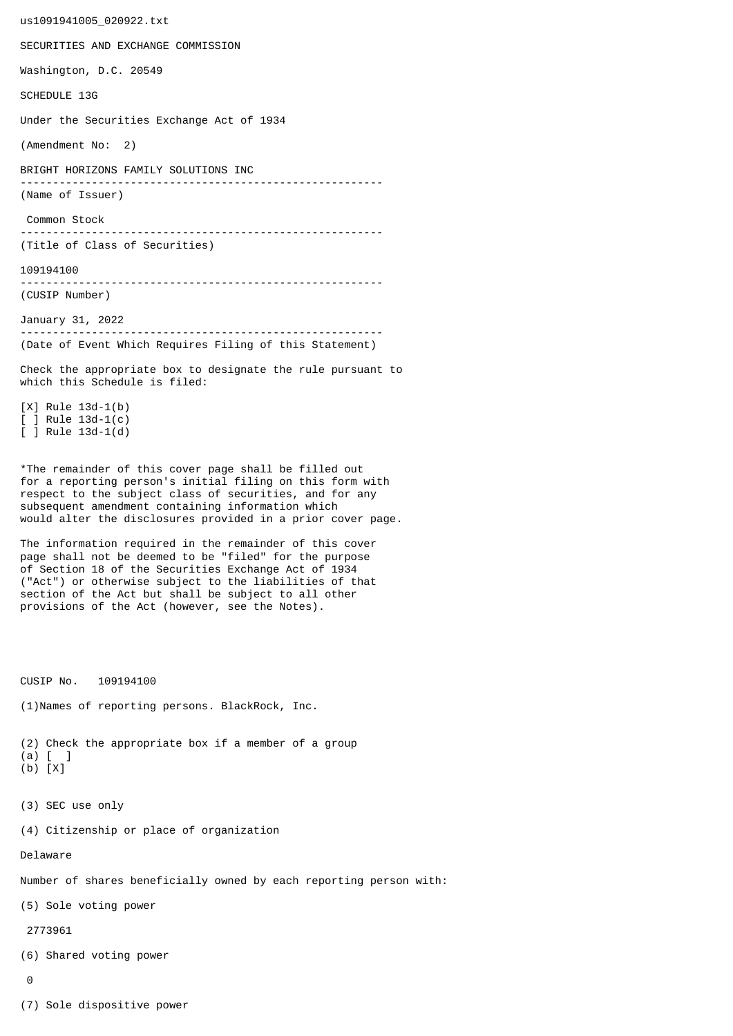us1091941005\_020922.txt SECURITIES AND EXCHANGE COMMISSION Washington, D.C. 20549 SCHEDULE 13G Under the Securities Exchange Act of 1934 (Amendment No: 2) BRIGHT HORIZONS FAMILY SOLUTIONS INC -------------------------------------------------------- (Name of Issuer) Common Stock -------------------------------------------------------- (Title of Class of Securities) 109194100 -------------------------------------------------------- (CUSIP Number) January 31, 2022 -------------------------------------------------------- (Date of Event Which Requires Filing of this Statement) Check the appropriate box to designate the rule pursuant to which this Schedule is filed: [X] Rule 13d-1(b) [ ] Rule 13d-1(c) [ ] Rule 13d-1(d) \*The remainder of this cover page shall be filled out for a reporting person's initial filing on this form with respect to the subject class of securities, and for any subsequent amendment containing information which would alter the disclosures provided in a prior cover page. The information required in the remainder of this cover page shall not be deemed to be "filed" for the purpose of Section 18 of the Securities Exchange Act of 1934 ("Act") or otherwise subject to the liabilities of that section of the Act but shall be subject to all other provisions of the Act (however, see the Notes). CUSIP No. 109194100 (1)Names of reporting persons. BlackRock, Inc. (2) Check the appropriate box if a member of a group (a) [ ] (b) [X] (3) SEC use only (4) Citizenship or place of organization Delaware Number of shares beneficially owned by each reporting person with: (5) Sole voting power 2773961 (6) Shared voting power  $\Omega$ 

(7) Sole dispositive power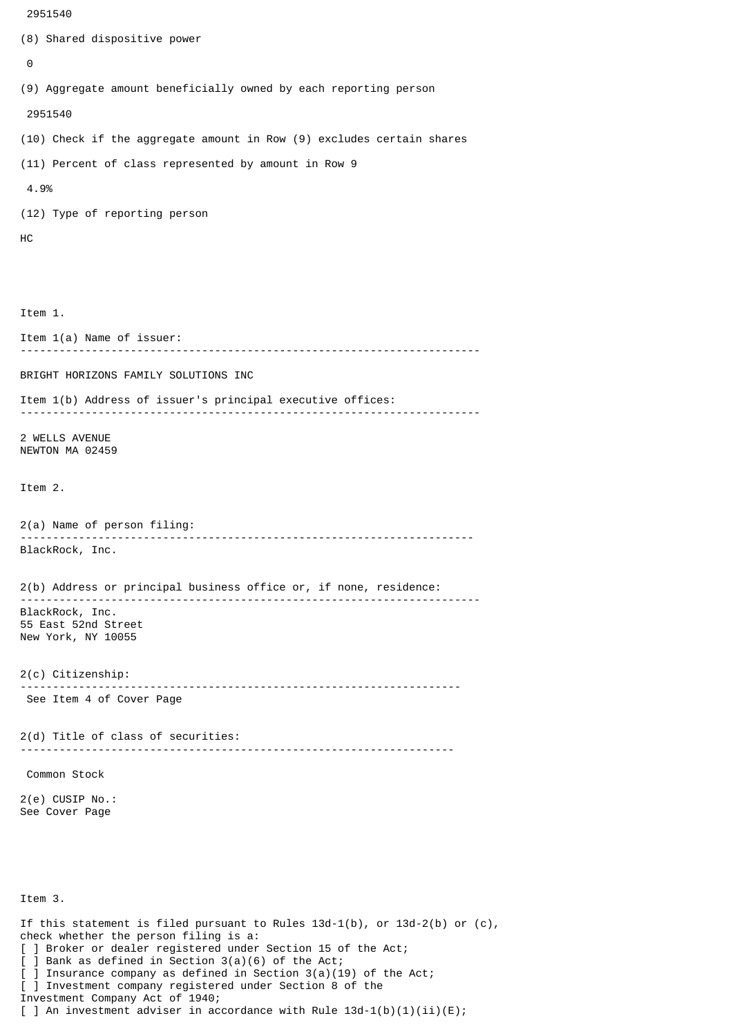```
 2951540
(8) Shared dispositive power
 \boldsymbol{\Theta}(9) Aggregate amount beneficially owned by each reporting person
  2951540
(10) Check if the aggregate amount in Row (9) excludes certain shares
(11) Percent of class represented by amount in Row 9
 4.9%
(12) Type of reporting person
HC
Item 1.
Item 1(a) Name of issuer:
            -----------------------------------------------------------------------
BRIGHT HORIZONS FAMILY SOLUTIONS INC
Item 1(b) Address of issuer's principal executive offices:
 -----------------------------------------------------------------------
2 WELLS AVENUE
NEWTON MA 02459
Item 2.
2(a) Name of person filing:
               ----------------------------------------------------------------------
BlackRock, Inc.
2(b) Address or principal business office or, if none, residence:
 -----------------------------------------------------------------------
BlackRock, Inc.
55 East 52nd Street
New York, NY 10055
2(c) Citizenship:
                             --------------------------------------------------------------------
 See Item 4 of Cover Page
2(d) Title of class of securities:
                                        -------------------------------------------------------------------
 Common Stock
2(e) CUSIP No.:
See Cover Page
Item 3.
If this statement is filed pursuant to Rules 13d-1(b), or 13d-2(b) or (c),
check whether the person filing is a:
```
[ ] Broker or dealer registered under Section 15 of the Act;

[ ] Investment company registered under Section 8 of the

] Insurance company as defined in Section  $3(a)(19)$  of the Act;

[ ] An investment adviser in accordance with Rule  $13d-1(b)(1)(ii)(E)$ ;

[ ] Bank as defined in Section 3(a)(6) of the Act;

Investment Company Act of 1940;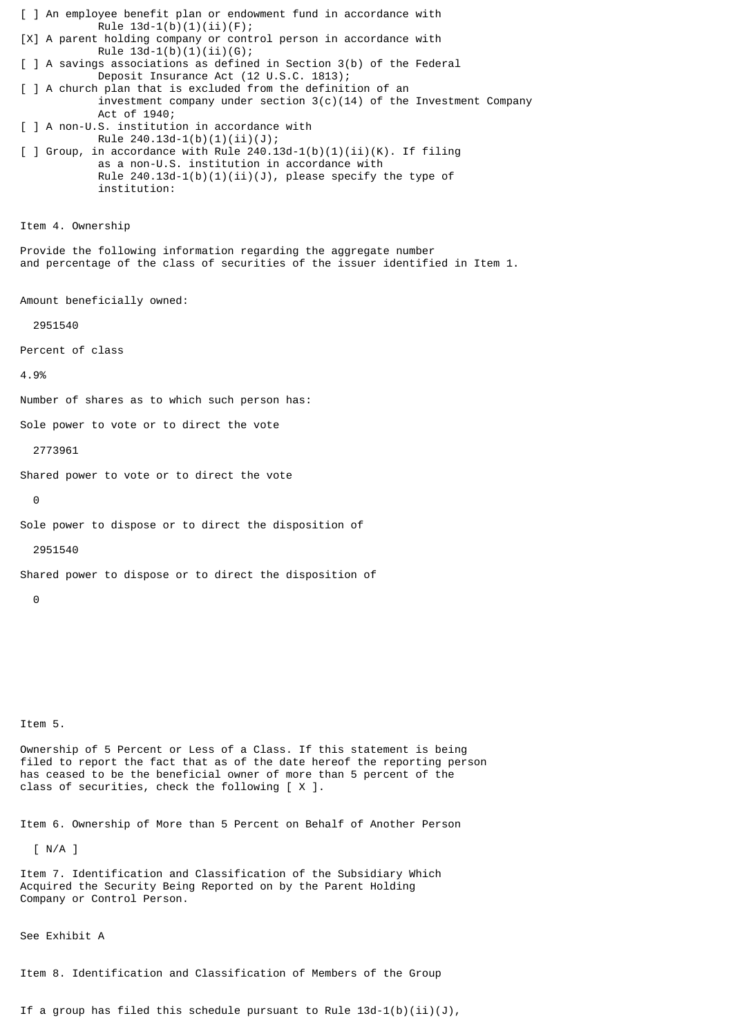[ ] An employee benefit plan or endowment fund in accordance with Rule  $13d-1(b)(1)(ii)(F);$ [X] A parent holding company or control person in accordance with Rule  $13d-1(b)(1)(ii)(G);$ [ ] A savings associations as defined in Section 3(b) of the Federal Deposit Insurance Act (12 U.S.C. 1813); [ ] A church plan that is excluded from the definition of an investment company under section  $3(c)(14)$  of the Investment Company Act of 1940; [ ] A non-U.S. institution in accordance with Rule  $240.13d-1(b)(1)(ii)(J);$  $\lceil$  ] Group, in accordance with Rule 240.13d-1(b)(1)(ii)(K). If filing as a non-U.S. institution in accordance with Rule  $240.13d-1(b)(1)(ii)(J)$ , please specify the type of institution: Item 4. Ownership Provide the following information regarding the aggregate number and percentage of the class of securities of the issuer identified in Item 1. Amount beneficially owned: 2951540 Percent of class 4.9% Number of shares as to which such person has: Sole power to vote or to direct the vote 2773961 Shared power to vote or to direct the vote  $\Theta$ Sole power to dispose or to direct the disposition of 2951540 Shared power to dispose or to direct the disposition of 0 Item 5.

Ownership of 5 Percent or Less of a Class. If this statement is being filed to report the fact that as of the date hereof the reporting person has ceased to be the beneficial owner of more than 5 percent of the class of securities, check the following [ X ].

Item 6. Ownership of More than 5 Percent on Behalf of Another Person

[ N/A ]

Item 7. Identification and Classification of the Subsidiary Which Acquired the Security Being Reported on by the Parent Holding Company or Control Person.

See Exhibit A

Item 8. Identification and Classification of Members of the Group

If a group has filed this schedule pursuant to Rule  $13d-1(b)(ii)(J)$ ,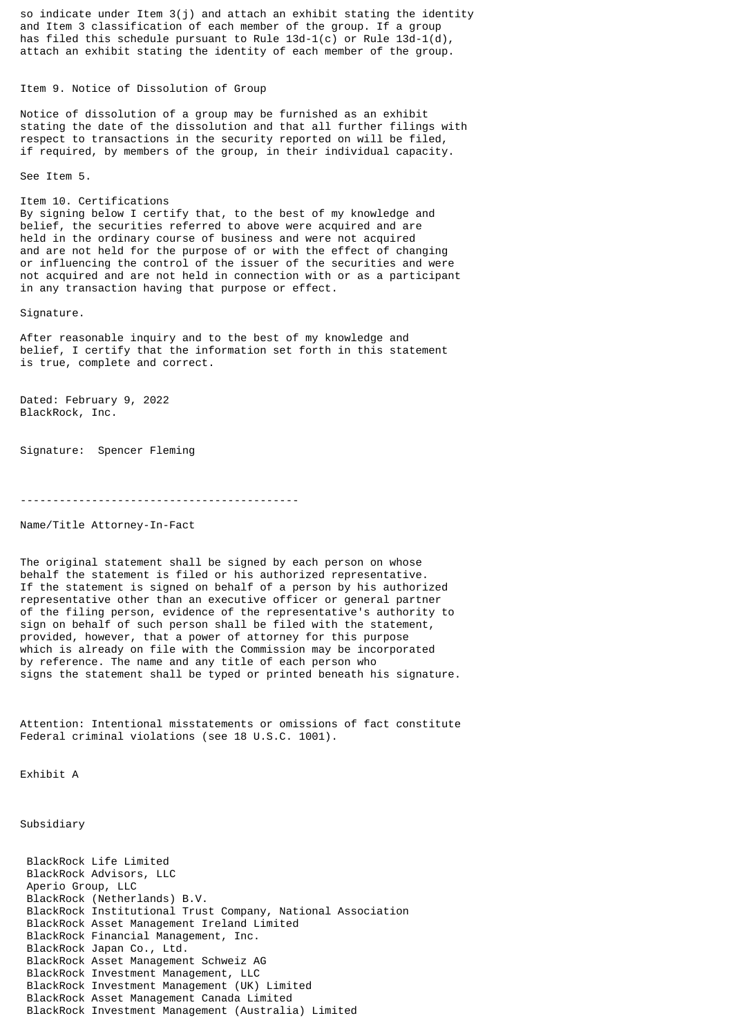so indicate under Item  $3(j)$  and attach an exhibit stating the identity and Item 3 classification of each member of the group. If a group has filed this schedule pursuant to Rule 13d-1(c) or Rule 13d-1(d), attach an exhibit stating the identity of each member of the group.

Item 9. Notice of Dissolution of Group

Notice of dissolution of a group may be furnished as an exhibit stating the date of the dissolution and that all further filings with respect to transactions in the security reported on will be filed, if required, by members of the group, in their individual capacity.

See Item 5.

Item 10. Certifications By signing below I certify that, to the best of my knowledge and belief, the securities referred to above were acquired and are held in the ordinary course of business and were not acquired and are not held for the purpose of or with the effect of changing or influencing the control of the issuer of the securities and were not acquired and are not held in connection with or as a participant in any transaction having that purpose or effect.

Signature.

After reasonable inquiry and to the best of my knowledge and belief, I certify that the information set forth in this statement is true, complete and correct.

Dated: February 9, 2022 BlackRock, Inc.

Signature: Spencer Fleming

-------------------------------------------

Name/Title Attorney-In-Fact

The original statement shall be signed by each person on whose behalf the statement is filed or his authorized representative. If the statement is signed on behalf of a person by his authorized representative other than an executive officer or general partner of the filing person, evidence of the representative's authority to sign on behalf of such person shall be filed with the statement, provided, however, that a power of attorney for this purpose which is already on file with the Commission may be incorporated by reference. The name and any title of each person who signs the statement shall be typed or printed beneath his signature.

Attention: Intentional misstatements or omissions of fact constitute Federal criminal violations (see 18 U.S.C. 1001).

Exhibit A

Subsidiary

 BlackRock Life Limited BlackRock Advisors, LLC Aperio Group, LLC BlackRock (Netherlands) B.V. BlackRock Institutional Trust Company, National Association BlackRock Asset Management Ireland Limited BlackRock Financial Management, Inc. BlackRock Japan Co., Ltd. BlackRock Asset Management Schweiz AG BlackRock Investment Management, LLC BlackRock Investment Management (UK) Limited BlackRock Asset Management Canada Limited BlackRock Investment Management (Australia) Limited